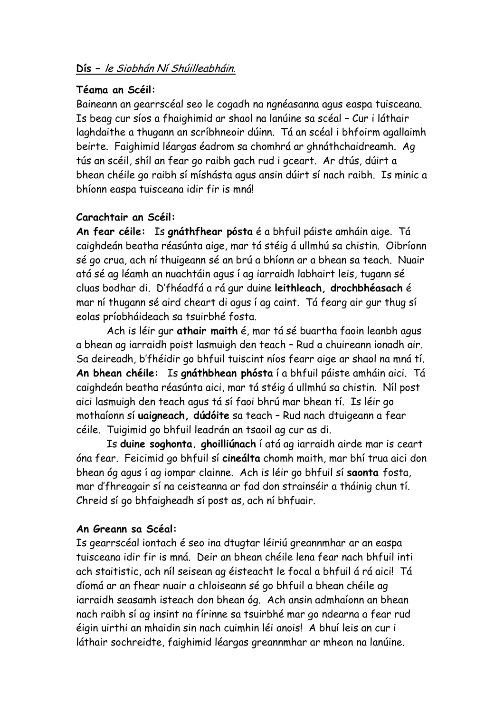# **Dís –** le Siobhán Ní Shúilleabháin.

### **Téama an Scéil:**

Baineann an gearrscéal seo le cogadh na ngnéasanna agus easpa tuisceana. Is beag cur síos a fhaighimid ar shaol na lanúine sa scéal – Cur i láthair laghdaithe a thugann an scríbhneoir dúinn. Tá an scéal i bhfoirm agallaimh beirte. Faighimid léargas éadrom sa chomhrá ar ghnáthchaidreamh. Ag tús an scéil, shíl an fear go raibh gach rud i gceart. Ar dtús, dúirt a bhean chéile go raibh sí míshásta agus ansin dúirt sí nach raibh. Is minic a bhíonn easpa tuisceana idir fir is mná!

## **Carachtair an Scéil:**

**An fear céile:** Is **gnáthfhear pósta** é a bhfuil páiste amháin aige. Tá caighdeán beatha réasúnta aige, mar tá stéig á ullmhú sa chistin. Oibríonn sé go crua, ach ní thuigeann sé an brú a bhíonn ar a bhean sa teach. Nuair atá sé ag léamh an nuachtáin agus í ag iarraidh labhairt leis, tugann sé cluas bodhar di. D'fhéadfá a rá gur duine **leithleach, drochbhéasach** é mar ní thugann sé aird cheart di agus í ag caint. Tá fearg air gur thug sí eolas príobháideach sa tsuirbhé fosta.

Ach is léir gur **athair maith** é, mar tá sé buartha faoin leanbh agus a bhean ag iarraidh poist lasmuigh den teach – Rud a chuireann ionadh air. Sa deireadh, b'fhéidir go bhfuil tuiscint níos fearr aige ar shaol na mná tí. **An bhean chéile:** Is **gnáthbhean phósta** í a bhfuil páiste amháin aici. Tá caighdeán beatha réasúnta aici, mar tá stéig á ullmhú sa chistin. Níl post aici lasmuigh den teach agus tá sí faoi bhrú mar bhean tí. Is léir go mothaíonn sí **uaigneach, dúdóite** sa teach – Rud nach dtuigeann a fear céile. Tuigimid go bhfuil leadrán an tsaoil ag cur as di.

Is **duine soghonta. ghoilliúnach** í atá ag iarraidh airde mar is ceart óna fear. Feicimid go bhfuil sí **cineálta** chomh maith, mar bhí trua aici don bhean óg agus í ag iompar clainne. Ach is léir go bhfuil sí **saonta** fosta, mar d'fhreagair sí na ceisteanna ar fad don strainséir a tháinig chun tí. Chreid sí go bhfaigheadh sí post as, ach ní bhfuair.

## **An Greann sa Scéal:**

Is gearrscéal iontach é seo ina dtugtar léiriú greannmhar ar an easpa tuisceana idir fir is mná. Deir an bhean chéile lena fear nach bhfuil inti ach staitistic, ach níl seisean ag éisteacht le focal a bhfuil á rá aici! Tá díomá ar an fhear nuair a chloiseann sé go bhfuil a bhean chéile ag iarraidh seasamh isteach don bhean óg. Ach ansin admhaíonn an bhean nach raibh sí ag insint na fírinne sa tsuirbhé mar go ndearna a fear rud éigin uirthi an mhaidin sin nach cuimhin léi anois! A bhuí leis an cur i láthair sochreidte, faighimid léargas greannmhar ar mheon na lanúine.